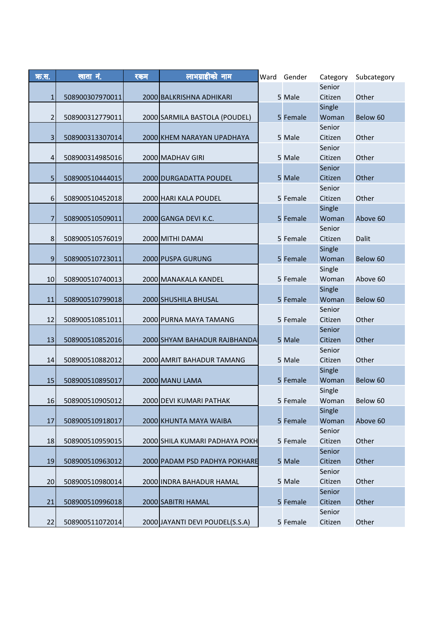| क्र.स. | <u>खाता नं.</u> | रकम | लाभग्राहीको नाम                 | Ward | Gender   | Category          | Subcategory |
|--------|-----------------|-----|---------------------------------|------|----------|-------------------|-------------|
|        |                 |     |                                 |      |          | Senior            |             |
| 1      | 508900307970011 |     | 2000 BALKRISHNA ADHIKARI        |      | 5 Male   | Citizen           | Other       |
|        |                 |     |                                 |      |          | Single            |             |
| 2      | 508900312779011 |     | 2000 SARMILA BASTOLA (POUDEL)   |      | 5 Female | Woman             | Below 60    |
|        |                 |     |                                 |      |          | Senior            |             |
| 3      | 508900313307014 |     | 2000 KHEM NARAYAN UPADHAYA      |      | 5 Male   | Citizen<br>Senior | Other       |
| 4      | 508900314985016 |     | 2000 MADHAV GIRI                |      | 5 Male   | Citizen           | Other       |
|        |                 |     |                                 |      |          | Senior            |             |
| 5      | 508900510444015 |     | 2000 DURGADATTA POUDEL          |      | 5 Male   | Citizen           | Other       |
|        |                 |     |                                 |      |          | Senior            |             |
| 6      | 508900510452018 |     | 2000 HARI KALA POUDEL           |      | 5 Female | Citizen           | Other       |
|        |                 |     |                                 |      |          | Single            |             |
| 7      | 508900510509011 |     | 2000 GANGA DEVI K.C.            |      | 5 Female | Woman             | Above 60    |
|        |                 |     |                                 |      |          | Senior            |             |
| 8      | 508900510576019 |     | 2000 MITHI DAMAI                |      | 5 Female | Citizen           | Dalit       |
|        |                 |     |                                 |      |          | Single            |             |
| $9$    | 508900510723011 |     | 2000 PUSPA GURUNG               |      | 5 Female | Woman<br>Single   | Below 60    |
| 10     | 508900510740013 |     | 2000 MANAKALA KANDEL            |      | 5 Female | Woman             | Above 60    |
|        |                 |     |                                 |      |          | Single            |             |
| 11     | 508900510799018 |     | 2000 SHUSHILA BHUSAL            |      | 5 Female | Woman             | Below 60    |
|        |                 |     |                                 |      |          | Senior            |             |
| 12     | 508900510851011 |     | 2000 PURNA MAYA TAMANG          |      | 5 Female | Citizen           | Other       |
|        |                 |     |                                 |      |          | Senior            |             |
| 13     | 508900510852016 |     | 2000 SHYAM BAHADUR RAJBHANDA    |      | 5 Male   | Citizen           | Other       |
|        |                 |     |                                 |      |          | Senior            |             |
| 14     | 508900510882012 |     | 2000 AMRIT BAHADUR TAMANG       |      | 5 Male   | Citizen           | Other       |
| 15     | 508900510895017 |     |                                 |      |          | Single<br>Woman   | Below 60    |
|        |                 |     | 2000 MANU LAMA                  |      | 5 Female | Single            |             |
| 16     | 508900510905012 |     | 2000 DEVI KUMARI PATHAK         |      | 5 Female | Woman             | Below 60    |
|        |                 |     |                                 |      |          | Single            |             |
| 17     | 508900510918017 |     | 2000 KHUNTA MAYA WAIBA          |      | 5 Female | Woman             | Above 60    |
|        |                 |     |                                 |      |          | Senior            |             |
| 18     | 508900510959015 |     | 2000 SHILA KUMARI PADHAYA POKH  |      | 5 Female | Citizen           | Other       |
|        |                 |     |                                 |      |          | Senior            |             |
| 19     | 508900510963012 |     | 2000 PADAM PSD PADHYA POKHARE   |      | 5 Male   | Citizen           | Other       |
|        |                 |     |                                 |      |          | Senior            |             |
| 20     | 508900510980014 |     | 2000 INDRA BAHADUR HAMAL        |      | 5 Male   | Citizen           | Other       |
| 21     | 508900510996018 |     | 2000 SABITRI HAMAL              |      | 5 Female | Senior<br>Citizen | Other       |
|        |                 |     |                                 |      |          | Senior            |             |
| 22     | 508900511072014 |     | 2000 JAYANTI DEVI POUDEL(S.S.A) |      | 5 Female | Citizen           | Other       |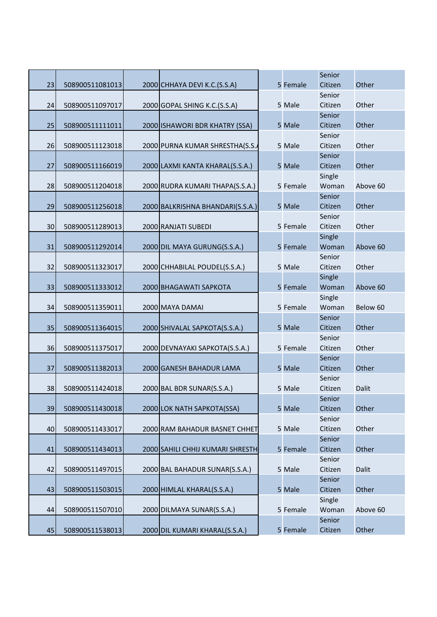|    |                 |                                  |          | Senior            |          |
|----|-----------------|----------------------------------|----------|-------------------|----------|
| 23 | 508900511081013 | 2000 CHHAYA DEVI K.C.(S.S.A)     | 5 Female | Citizen           | Other    |
|    |                 |                                  |          | Senior            |          |
| 24 | 508900511097017 | 2000 GOPAL SHING K.C.(S.S.A)     | 5 Male   | Citizen           | Other    |
|    |                 |                                  |          | Senior            |          |
| 25 | 508900511111011 | 2000 ISHAWORI BDR KHATRY (SSA)   | 5 Male   | Citizen           | Other    |
|    |                 |                                  |          | Senior            |          |
| 26 | 508900511123018 | 2000 PURNA KUMAR SHRESTHA(S.S.   | 5 Male   | Citizen           | Other    |
|    |                 |                                  |          | Senior            |          |
| 27 | 508900511166019 | 2000 LAXMI KANTA KHARAL(S.S.A.)  | 5 Male   | Citizen           | Other    |
|    |                 |                                  |          | Single            |          |
| 28 | 508900511204018 | 2000 RUDRA KUMARI THAPA(S.S.A.)  | 5 Female | Woman             | Above 60 |
|    |                 |                                  |          | Senior            |          |
| 29 | 508900511256018 | 2000 BALKRISHNA BHANDARI(S.S.A.) | 5 Male   | Citizen           | Other    |
|    |                 |                                  |          | Senior            |          |
| 30 | 508900511289013 | 2000 RANJATI SUBEDI              | 5 Female | Citizen           | Other    |
|    |                 |                                  |          | Single            |          |
| 31 | 508900511292014 | 2000 DIL MAYA GURUNG(S.S.A.)     | 5 Female | Woman             | Above 60 |
|    |                 |                                  |          | Senior            |          |
| 32 | 508900511323017 | 2000 CHHABILAL POUDEL(S.S.A.)    | 5 Male   | Citizen           | Other    |
|    |                 |                                  |          | Single            |          |
| 33 | 508900511333012 | 2000 BHAGAWATI SAPKOTA           | 5 Female | Woman             | Above 60 |
|    |                 |                                  |          | Single            |          |
| 34 | 508900511359011 | 2000 MAYA DAMAI                  | 5 Female | Woman             | Below 60 |
|    |                 |                                  |          | Senior            |          |
| 35 | 508900511364015 | 2000 SHIVALAL SAPKOTA(S.S.A.)    | 5 Male   | Citizen           | Other    |
|    |                 |                                  |          | Senior            |          |
| 36 | 508900511375017 | 2000 DEVNAYAKI SAPKOTA(S.S.A.)   | 5 Female | Citizen           | Other    |
| 37 |                 |                                  | 5 Male   | Senior<br>Citizen | Other    |
|    | 508900511382013 | 2000 GANESH BAHADUR LAMA         |          | Senior            |          |
| 38 | 508900511424018 | 2000 BAL BDR SUNAR(S.S.A.)       | 5 Male   | Citizen           | Dalit    |
|    |                 |                                  |          | Senior            |          |
| 39 | 508900511430018 | 2000 LOK NATH SAPKOTA(SSA)       | 5 Male   | Citizen           | Other    |
|    |                 |                                  |          | Senior            |          |
| 40 | 508900511433017 | 2000 RAM BAHADUR BASNET CHHET    | 5 Male   | Citizen           | Other    |
|    |                 |                                  |          | Senior            |          |
| 41 | 508900511434013 | 2000 SAHILI CHHIJ KUMARI SHRESTH | 5 Female | Citizen           | Other    |
|    |                 |                                  |          | Senior            |          |
| 42 | 508900511497015 | 2000 BAL BAHADUR SUNAR(S.S.A.)   | 5 Male   | Citizen           | Dalit    |
|    |                 |                                  |          | Senior            |          |
| 43 | 508900511503015 | 2000 HIMLAL KHARAL(S.S.A.)       | 5 Male   | Citizen           | Other    |
|    |                 |                                  |          | Single            |          |
| 44 | 508900511507010 | 2000 DILMAYA SUNAR(S.S.A.)       | 5 Female | Woman             | Above 60 |
|    |                 |                                  |          | Senior            |          |
| 45 | 508900511538013 | 2000 DIL KUMARI KHARAL(S.S.A.)   | 5 Female | Citizen           | Other    |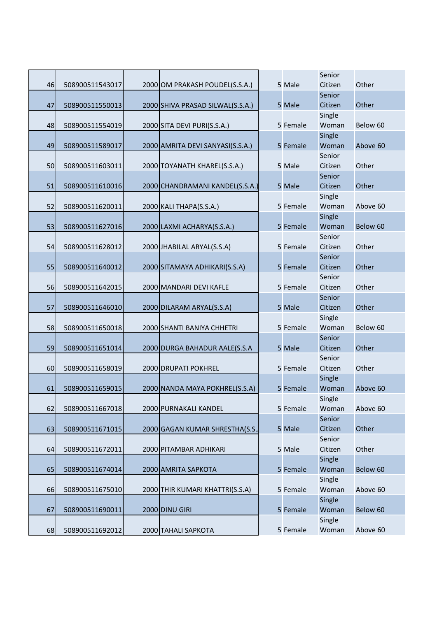| 46 | 508900511543017 | 2000 OM PRAKASH POUDEL(S.S.A.)   | 5 Male   | Senior<br>Citizen | Other    |
|----|-----------------|----------------------------------|----------|-------------------|----------|
|    |                 |                                  |          | Senior            |          |
| 47 | 508900511550013 | 2000 SHIVA PRASAD SILWAL(S.S.A.) | 5 Male   | Citizen           | Other    |
| 48 | 508900511554019 | 2000 SITA DEVI PURI(S.S.A.)      | 5 Female | Single<br>Woman   | Below 60 |
| 49 | 508900511589017 | 2000 AMRITA DEVI SANYASI(S.S.A.) | 5 Female | Single<br>Woman   | Above 60 |
| 50 | 508900511603011 | 2000 TOYANATH KHAREL(S.S.A.)     | 5 Male   | Senior<br>Citizen | Other    |
| 51 | 508900511610016 | 2000 CHANDRAMANI KANDEL(S.S.A.)  | 5 Male   | Senior<br>Citizen | Other    |
|    |                 |                                  |          | Single            |          |
| 52 | 508900511620011 | 2000 KALI THAPA(S.S.A.)          | 5 Female | Woman             | Above 60 |
|    |                 |                                  |          | Single            |          |
| 53 | 508900511627016 | 2000 LAXMI ACHARYA(S.S.A.)       | 5 Female | Woman             | Below 60 |
|    |                 |                                  |          | Senior            |          |
| 54 | 508900511628012 | 2000 JHABILAL ARYAL(S.S.A)       | 5 Female | Citizen           | Other    |
|    |                 |                                  |          | Senior            |          |
| 55 | 508900511640012 | 2000 SITAMAYA ADHIKARI(S.S.A)    | 5 Female | Citizen           | Other    |
|    |                 |                                  |          | Senior            |          |
| 56 | 508900511642015 | 2000 MANDARI DEVI KAFLE          | 5 Female | Citizen           | Other    |
|    |                 |                                  |          | Senior            |          |
| 57 | 508900511646010 | 2000 DILARAM ARYAL(S.S.A)        | 5 Male   | Citizen           | Other    |
|    |                 |                                  |          | Single            |          |
| 58 | 508900511650018 | 2000 SHANTI BANIYA CHHETRI       | 5 Female | Woman             | Below 60 |
|    |                 |                                  |          | Senior            |          |
| 59 | 508900511651014 | 2000 DURGA BAHADUR AALE(S.S.A    | 5 Male   | Citizen           | Other    |
|    |                 |                                  |          | Senior            |          |
| 60 | 508900511658019 | 2000 DRUPATI POKHREL             | 5 Female | Citizen           | Other    |
|    |                 |                                  |          | Single            |          |
| 61 | 508900511659015 | 2000 NANDA MAYA POKHREL(S.S.A)   | 5 Female | Woman             | Above 60 |
|    |                 |                                  |          | Single            |          |
| 62 | 508900511667018 | 2000 PURNAKALI KANDEL            | 5 Female | Woman             | Above 60 |
|    |                 |                                  |          | Senior            |          |
| 63 | 508900511671015 | 2000 GAGAN KUMAR SHRESTHA(S.S.,  | 5 Male   | Citizen           | Other    |
|    |                 |                                  |          | Senior            |          |
| 64 | 508900511672011 | 2000 PITAMBAR ADHIKARI           | 5 Male   | Citizen           | Other    |
|    |                 |                                  |          | Single            |          |
| 65 | 508900511674014 | 2000 AMRITA SAPKOTA              | 5 Female | Woman             | Below 60 |
|    |                 |                                  |          | Single            |          |
| 66 | 508900511675010 | 2000 THIR KUMARI KHATTRI(S.S.A)  | 5 Female | Woman             | Above 60 |
|    |                 |                                  |          | Single            |          |
| 67 | 508900511690011 | 2000 DINU GIRI                   | 5 Female | Woman             | Below 60 |
|    |                 |                                  |          | Single            |          |
| 68 | 508900511692012 | 2000 TAHALI SAPKOTA              | 5 Female | Woman             | Above 60 |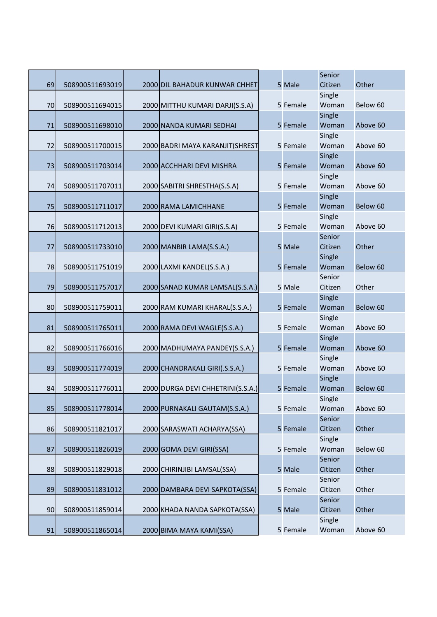|    |                 |                                   |          | Senior  |          |
|----|-----------------|-----------------------------------|----------|---------|----------|
| 69 | 508900511693019 | 2000 DIL BAHADUR KUNWAR CHHET     | 5 Male   | Citizen | Other    |
|    |                 |                                   |          | Single  |          |
| 70 | 508900511694015 | 2000 MITTHU KUMARI DARJI(S.S.A)   | 5 Female | Woman   | Below 60 |
|    |                 |                                   |          | Single  |          |
| 71 | 508900511698010 | 2000 NANDA KUMARI SEDHAI          | 5 Female | Woman   | Above 60 |
|    |                 |                                   |          | Single  |          |
| 72 | 508900511700015 | 2000 BADRI MAYA KARANJIT(SHREST   | 5 Female | Woman   | Above 60 |
|    |                 |                                   |          | Single  |          |
| 73 | 508900511703014 | 2000 ACCHHARI DEVI MISHRA         | 5 Female | Woman   | Above 60 |
|    |                 |                                   |          | Single  |          |
| 74 | 508900511707011 | 2000 SABITRI SHRESTHA(S.S.A)      | 5 Female | Woman   | Above 60 |
|    |                 |                                   |          | Single  |          |
| 75 | 508900511711017 | 2000 RAMA LAMICHHANE              | 5 Female | Woman   | Below 60 |
|    |                 |                                   |          | Single  |          |
| 76 | 508900511712013 | 2000 DEVI KUMARI GIRI(S.S.A)      | 5 Female | Woman   | Above 60 |
|    |                 |                                   |          | Senior  |          |
| 77 | 508900511733010 | 2000 MANBIR LAMA(S.S.A.)          | 5 Male   | Citizen | Other    |
|    |                 |                                   |          | Single  |          |
| 78 | 508900511751019 | 2000 LAXMI KANDEL(S.S.A.)         | 5 Female | Woman   | Below 60 |
|    |                 |                                   |          | Senior  |          |
| 79 | 508900511757017 | 2000 SANAD KUMAR LAMSAL(S.S.A.)   | 5 Male   | Citizen | Other    |
|    |                 |                                   |          | Single  |          |
| 80 | 508900511759011 | 2000 RAM KUMARI KHARAL(S.S.A.)    | 5 Female | Woman   | Below 60 |
|    |                 |                                   |          | Single  |          |
| 81 | 508900511765011 | 2000 RAMA DEVI WAGLE(S.S.A.)      | 5 Female | Woman   | Above 60 |
|    |                 |                                   |          | Single  |          |
| 82 | 508900511766016 | 2000 MADHUMAYA PANDEY(S.S.A.)     | 5 Female | Woman   | Above 60 |
|    |                 |                                   |          | Single  |          |
| 83 | 508900511774019 | 2000 CHANDRAKALI GIRI(.S.S.A.)    | 5 Female | Woman   | Above 60 |
|    |                 |                                   |          | Single  |          |
| 84 | 508900511776011 | 2000 DURGA DEVI CHHETRINI(S.S.A.) | 5 Female | Woman   | Below 60 |
|    |                 |                                   |          | Single  |          |
| 85 | 508900511778014 | 2000 PURNAKALI GAUTAM(S.S.A.)     | 5 Female | Woman   | Above 60 |
|    |                 |                                   |          | Senior  |          |
| 86 | 508900511821017 | 2000 SARASWATI ACHARYA(SSA)       | 5 Female | Citizen | Other    |
|    |                 |                                   |          | Single  |          |
| 87 | 508900511826019 | 2000 GOMA DEVI GIRI(SSA)          | 5 Female | Woman   | Below 60 |
|    |                 |                                   |          | Senior  |          |
| 88 | 508900511829018 | 2000 CHIRINJIBI LAMSAL(SSA)       | 5 Male   | Citizen | Other    |
|    |                 |                                   |          | Senior  |          |
| 89 | 508900511831012 | 2000 DAMBARA DEVI SAPKOTA(SSA)    | 5 Female | Citizen | Other    |
|    |                 |                                   |          | Senior  |          |
| 90 | 508900511859014 | 2000 KHADA NANDA SAPKOTA(SSA)     | 5 Male   | Citizen | Other    |
|    |                 |                                   |          | Single  |          |
| 91 | 508900511865014 | 2000 BIMA MAYA KAMI(SSA)          | 5 Female | Woman   | Above 60 |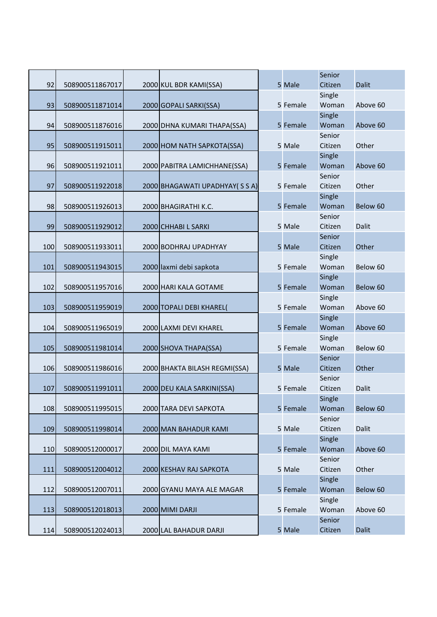|     |                 |                               |          | Senior          |              |
|-----|-----------------|-------------------------------|----------|-----------------|--------------|
| 92  | 508900511867017 | 2000 KUL BDR KAMI(SSA)        | 5 Male   | Citizen         | Dalit        |
|     |                 |                               |          | Single          |              |
| 93  | 508900511871014 | 2000 GOPALI SARKI(SSA)        | 5 Female | Woman           | Above 60     |
|     |                 |                               |          | Single          |              |
| 94  | 508900511876016 | 2000 DHNA KUMARI THAPA(SSA)   | 5 Female | Woman           | Above 60     |
|     |                 |                               |          | Senior          |              |
| 95  | 508900511915011 | 2000 HOM NATH SAPKOTA(SSA)    | 5 Male   | Citizen         | Other        |
|     |                 |                               |          | Single          |              |
| 96  | 508900511921011 | 2000 PABITRA LAMICHHANE(SSA)  | 5 Female | Woman           | Above 60     |
|     |                 |                               |          | Senior          |              |
| 97  | 508900511922018 | 2000 BHAGAWATI UPADHYAY (SSA) | 5 Female | Citizen         | Other        |
|     |                 |                               |          | Single          |              |
| 98  | 508900511926013 | 2000 BHAGIRATHI K.C.          | 5 Female | Woman           | Below 60     |
|     |                 |                               |          | Senior          |              |
| 99  | 508900511929012 | 2000 CHHABI L SARKI           | 5 Male   | Citizen         | Dalit        |
|     |                 |                               |          | Senior          |              |
| 100 | 508900511933011 | 2000 BODHRAJ UPADHYAY         | 5 Male   | Citizen         | Other        |
|     |                 |                               |          | Single          |              |
| 101 | 508900511943015 | 2000 laxmi debi sapkota       | 5 Female | Woman           | Below 60     |
|     |                 |                               |          | Single          |              |
| 102 | 508900511957016 | 2000 HARI KALA GOTAME         | 5 Female | Woman           | Below 60     |
|     |                 |                               |          | Single<br>Woman |              |
| 103 | 508900511959019 | 2000 TOPALI DEBI KHAREL(      | 5 Female | Single          | Above 60     |
| 104 | 508900511965019 | 2000 LAXMI DEVI KHAREL        | 5 Female | Woman           | Above 60     |
|     |                 |                               |          | Single          |              |
| 105 | 508900511981014 | 2000 SHOVA THAPA(SSA)         | 5 Female | Woman           | Below 60     |
|     |                 |                               |          | Senior          |              |
| 106 | 508900511986016 | 2000 BHAKTA BILASH REGMI(SSA) | 5 Male   | Citizen         | Other        |
|     |                 |                               |          | Senior          |              |
| 107 | 508900511991011 | 2000 DEU KALA SARKINI(SSA)    | 5 Female | Citizen         | Dalit        |
|     |                 |                               |          | Single          |              |
| 108 | 508900511995015 | 2000 TARA DEVI SAPKOTA        | 5 Female | Woman           | Below 60     |
|     |                 |                               |          | Senior          |              |
| 109 | 508900511998014 | 2000 MAN BAHADUR KAMI         | 5 Male   | Citizen         | Dalit        |
|     |                 |                               |          | Single          |              |
| 110 | 508900512000017 | 2000 DIL MAYA KAMI            | 5 Female | Woman           | Above 60     |
|     |                 |                               |          | Senior          |              |
| 111 | 508900512004012 | 2000 KESHAV RAJ SAPKOTA       | 5 Male   | Citizen         | Other        |
|     |                 |                               |          | Single          |              |
| 112 | 508900512007011 | 2000 GYANU MAYA ALE MAGAR     | 5 Female | Woman           | Below 60     |
|     |                 |                               |          | Single          |              |
| 113 | 508900512018013 | 2000 MIMI DARJI               | 5 Female | Woman           | Above 60     |
|     |                 |                               |          | Senior          |              |
| 114 | 508900512024013 | 2000 LAL BAHADUR DARJI        | 5 Male   | Citizen         | <b>Dalit</b> |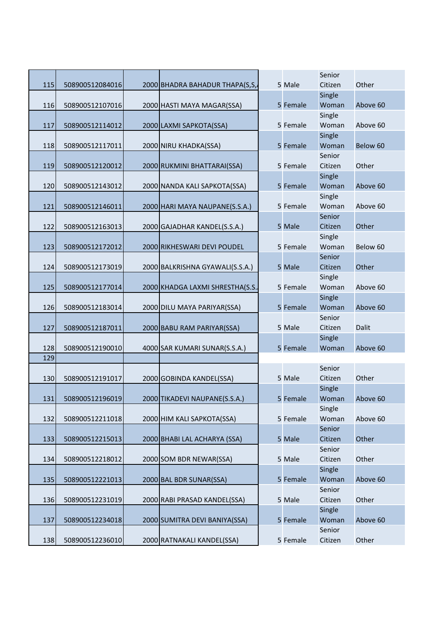|     |                 |                                 |          | Senior          |          |
|-----|-----------------|---------------------------------|----------|-----------------|----------|
| 115 | 508900512084016 | 2000 BHADRA BAHADUR THAPA(S,S,  | 5 Male   | Citizen         | Other    |
|     |                 |                                 |          | Single          |          |
| 116 | 508900512107016 | 2000 HASTI MAYA MAGAR(SSA)      | 5 Female | Woman           | Above 60 |
|     |                 |                                 |          | Single          |          |
| 117 | 508900512114012 | 2000 LAXMI SAPKOTA(SSA)         | 5 Female | Woman           | Above 60 |
|     |                 |                                 |          | Single          |          |
| 118 | 508900512117011 | 2000 NIRU KHADKA(SSA)           | 5 Female | Woman           | Below 60 |
|     |                 |                                 |          | Senior          |          |
| 119 | 508900512120012 | 2000 RUKMINI BHATTARAI(SSA)     | 5 Female | Citizen         | Other    |
|     |                 |                                 |          | Single          |          |
| 120 | 508900512143012 | 2000 NANDA KALI SAPKOTA(SSA)    | 5 Female | Woman           | Above 60 |
|     |                 |                                 |          | Single          |          |
| 121 | 508900512146011 | 2000 HARI MAYA NAUPANE(S.S.A.)  | 5 Female | Woman           | Above 60 |
|     |                 |                                 |          | Senior          |          |
| 122 | 508900512163013 | 2000 GAJADHAR KANDEL(S.S.A.)    | 5 Male   | Citizen         | Other    |
|     |                 |                                 |          | Single          |          |
| 123 | 508900512172012 | 2000 RIKHESWARI DEVI POUDEL     | 5 Female | Woman           | Below 60 |
|     |                 |                                 |          | Senior          |          |
| 124 | 508900512173019 | 2000 BALKRISHNA GYAWALI(S.S.A.) | 5 Male   | Citizen         | Other    |
|     |                 |                                 |          | Single          |          |
| 125 | 508900512177014 | 2000 KHADGA LAXMI SHRESTHA(S.S. | 5 Female | Woman           | Above 60 |
|     |                 |                                 |          | Single          |          |
| 126 | 508900512183014 | 2000 DILU MAYA PARIYAR(SSA)     | 5 Female | Woman           | Above 60 |
|     |                 |                                 |          | Senior          |          |
| 127 | 508900512187011 | 2000 BABU RAM PARIYAR(SSA)      | 5 Male   | Citizen         | Dalit    |
| 128 |                 |                                 | 5 Female | Single<br>Woman | Above 60 |
| 129 | 508900512190010 | 4000 SAR KUMARI SUNAR(S.S.A.)   |          |                 |          |
|     |                 |                                 |          | Senior          |          |
| 130 | 508900512191017 | 2000 GOBINDA KANDEL(SSA)        | 5 Male   | Citizen         | Other    |
|     |                 |                                 |          | Single          |          |
| 131 | 508900512196019 | 2000 TIKADEVI NAUPANE(S.S.A.)   | 5 Female | Woman           | Above 60 |
|     |                 |                                 |          | Single          |          |
| 132 | 508900512211018 | 2000 HIM KALI SAPKOTA(SSA)      | 5 Female | Woman           | Above 60 |
|     |                 |                                 |          | Senior          |          |
| 133 | 508900512215013 | 2000 BHABI LAL ACHARYA (SSA)    | 5 Male   | Citizen         | Other    |
|     |                 |                                 |          | Senior          |          |
| 134 | 508900512218012 | 2000 SOM BDR NEWAR(SSA)         | 5 Male   | Citizen         | Other    |
|     |                 |                                 |          | Single          |          |
| 135 | 508900512221013 | 2000 BAL BDR SUNAR(SSA)         | 5 Female | Woman           | Above 60 |
|     |                 |                                 |          | Senior          |          |
| 136 | 508900512231019 | 2000 RABI PRASAD KANDEL(SSA)    | 5 Male   | Citizen         | Other    |
|     |                 |                                 |          | Single          |          |
| 137 | 508900512234018 | 2000 SUMITRA DEVI BANIYA(SSA)   | 5 Female | Woman           | Above 60 |
|     |                 |                                 |          | Senior          |          |
| 138 | 508900512236010 | 2000 RATNAKALI KANDEL(SSA)      | 5 Female | Citizen         | Other    |
|     |                 |                                 |          |                 |          |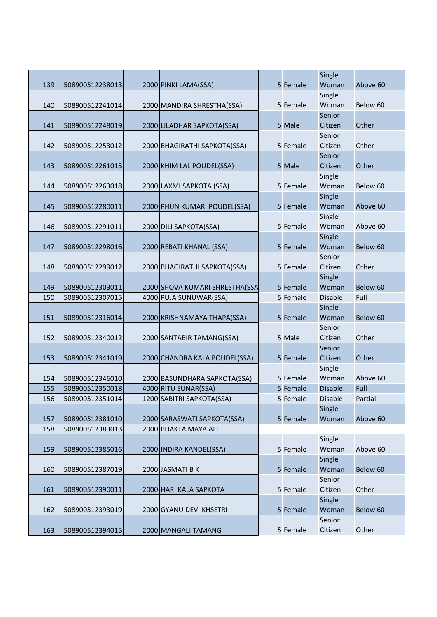|     |                 |                                |          | Single         |          |
|-----|-----------------|--------------------------------|----------|----------------|----------|
| 139 | 508900512238013 | 2000 PINKI LAMA(SSA)           | 5 Female | Woman          | Above 60 |
|     |                 |                                |          | Single         |          |
| 140 | 508900512241014 | 2000 MANDIRA SHRESTHA(SSA)     | 5 Female | Woman          | Below 60 |
|     |                 |                                |          | Senior         |          |
| 141 | 508900512248019 | 2000 LILADHAR SAPKOTA(SSA)     | 5 Male   | Citizen        | Other    |
|     |                 |                                |          | Senior         |          |
| 142 | 508900512253012 | 2000 BHAGIRATHI SAPKOTA(SSA)   | 5 Female | Citizen        | Other    |
|     |                 |                                |          | Senior         |          |
| 143 | 508900512261015 | 2000 KHIM LAL POUDEL(SSA)      | 5 Male   | Citizen        | Other    |
|     |                 |                                |          | Single         |          |
| 144 | 508900512263018 | 2000 LAXMI SAPKOTA (SSA)       | 5 Female | Woman          | Below 60 |
|     |                 |                                |          | Single         |          |
| 145 | 508900512280011 | 2000 PHUN KUMARI POUDEL(SSA)   | 5 Female | Woman          | Above 60 |
|     |                 |                                |          | Single         |          |
| 146 | 508900512291011 | 2000 DILI SAPKOTA(SSA)         | 5 Female | Woman          | Above 60 |
|     |                 |                                |          | Single         |          |
| 147 | 508900512298016 | 2000 REBATI KHANAL (SSA)       | 5 Female | Woman          | Below 60 |
|     |                 |                                |          | Senior         |          |
| 148 | 508900512299012 | 2000 BHAGIRATHI SAPKOTA(SSA)   | 5 Female | Citizen        | Other    |
|     |                 |                                |          | Single         |          |
| 149 | 508900512303011 | 2000 SHOVA KUMARI SHRESTHA(SSA | 5 Female | Woman          | Below 60 |
| 150 | 508900512307015 | 4000 PUJA SUNUWAR(SSA)         | 5 Female | <b>Disable</b> | Full     |
|     |                 |                                |          | Single         |          |
| 151 | 508900512316014 | 2000 KRISHNAMAYA THAPA(SSA)    | 5 Female | Woman          | Below 60 |
|     |                 |                                |          | Senior         |          |
| 152 | 508900512340012 | 2000 SANTABIR TAMANG(SSA)      | 5 Male   | Citizen        | Other    |
|     |                 |                                |          | Senior         |          |
| 153 | 508900512341019 | 2000 CHANDRA KALA POUDEL(SSA)  | 5 Female | Citizen        | Other    |
|     |                 |                                |          | Single         |          |
| 154 | 508900512346010 | 2000 BASUNDHARA SAPKOTA(SSA)   | 5 Female | Woman          | Above 60 |
| 155 | 508900512350018 | 4000 RITU SUNAR(SSA)           | 5 Female | <b>Disable</b> | Full     |
| 156 | 508900512351014 | 1200 SABITRI SAPKOTA(SSA)      | 5 Female | <b>Disable</b> | Partial  |
|     |                 |                                |          | Single         |          |
| 157 | 508900512381010 | 2000 SARASWATI SAPKOTA(SSA)    | 5 Female | Woman          | Above 60 |
| 158 | 508900512383013 | 2000 BHAKTA MAYA ALE           |          |                |          |
|     |                 |                                |          | Single         |          |
| 159 | 508900512385016 | 2000 INDIRA KANDEL(SSA)        | 5 Female | Woman          | Above 60 |
|     |                 |                                |          | Single         |          |
| 160 | 508900512387019 | 2000 JASMATI B K               | 5 Female | Woman          | Below 60 |
|     |                 |                                |          | Senior         |          |
| 161 | 508900512390011 | 2000 HARI KALA SAPKOTA         | 5 Female | Citizen        | Other    |
|     |                 |                                |          | Single         |          |
| 162 | 508900512393019 | 2000 GYANU DEVI KHSETRI        | 5 Female | Woman          | Below 60 |
|     |                 |                                |          | Senior         |          |
| 163 | 508900512394015 | 2000 MANGALI TAMANG            | 5 Female | Citizen        | Other    |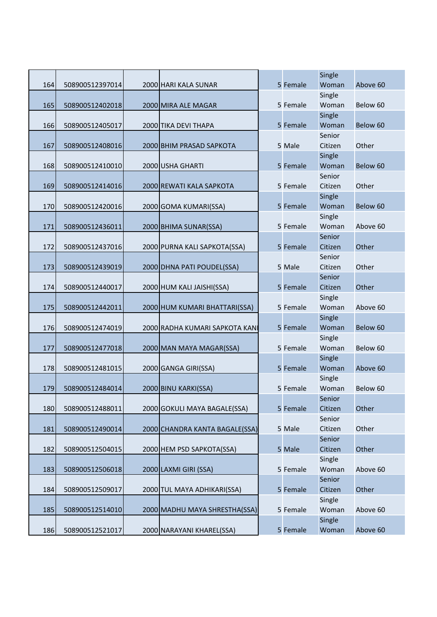| 164 | 508900512397014 | 2000 HARI KALA SUNAR           | 5 Female | Single<br>Woman   | Above 60 |
|-----|-----------------|--------------------------------|----------|-------------------|----------|
|     |                 |                                |          | Single            |          |
| 165 | 508900512402018 | 2000 MIRA ALE MAGAR            | 5 Female | Woman             | Below 60 |
|     |                 |                                |          | Single            |          |
| 166 | 508900512405017 | 2000 TIKA DEVI THAPA           | 5 Female | Woman             | Below 60 |
| 167 | 508900512408016 | 2000 BHIM PRASAD SAPKOTA       | 5 Male   | Senior<br>Citizen | Other    |
|     |                 |                                |          | Single            |          |
| 168 | 508900512410010 | 2000 USHA GHARTI               | 5 Female | Woman             | Below 60 |
|     |                 |                                |          | Senior            |          |
| 169 | 508900512414016 | 2000 REWATI KALA SAPKOTA       | 5 Female | Citizen           | Other    |
|     |                 |                                |          | Single            |          |
| 170 | 508900512420016 | 2000 GOMA KUMARI(SSA)          | 5 Female | Woman             | Below 60 |
|     |                 |                                |          | Single            |          |
| 171 | 508900512436011 | 2000 BHIMA SUNAR(SSA)          | 5 Female | Woman<br>Senior   | Above 60 |
| 172 | 508900512437016 | 2000 PURNA KALI SAPKOTA(SSA)   | 5 Female | Citizen           | Other    |
|     |                 |                                |          | Senior            |          |
| 173 | 508900512439019 | 2000 DHNA PATI POUDEL(SSA)     | 5 Male   | Citizen           | Other    |
|     |                 |                                |          | Senior            |          |
| 174 | 508900512440017 | 2000 HUM KALI JAISHI(SSA)      | 5 Female | Citizen           | Other    |
|     |                 |                                |          | Single            |          |
| 175 | 508900512442011 | 2000 HUM KUMARI BHATTARI(SSA)  | 5 Female | Woman             | Above 60 |
|     |                 |                                |          | Single            |          |
| 176 | 508900512474019 | 2000 RADHA KUMARI SAPKOTA KANI | 5 Female | Woman             | Below 60 |
| 177 | 508900512477018 | 2000 MAN MAYA MAGAR(SSA)       | 5 Female | Single<br>Woman   | Below 60 |
|     |                 |                                |          | Single            |          |
| 178 | 508900512481015 | 2000 GANGA GIRI(SSA)           | 5 Female | Woman             | Above 60 |
|     |                 |                                |          | Single            |          |
| 179 | 508900512484014 | 2000 BINU KARKI(SSA)           | 5 Female | Woman             | Below 60 |
|     |                 |                                |          | Senior            |          |
| 180 | 508900512488011 | 2000 GOKULI MAYA BAGALE(SSA)   | 5 Female | Citizen           | Other    |
|     |                 |                                |          | Senior            |          |
| 181 | 508900512490014 | 2000 CHANDRA KANTA BAGALE(SSA) | 5 Male   | Citizen           | Other    |
| 182 | 508900512504015 | 2000 HEM PSD SAPKOTA(SSA)      | 5 Male   | Senior<br>Citizen | Other    |
|     |                 |                                |          | Single            |          |
| 183 | 508900512506018 | 2000 LAXMI GIRI (SSA)          | 5 Female | Woman             | Above 60 |
|     |                 |                                |          | Senior            |          |
| 184 | 508900512509017 | 2000 TUL MAYA ADHIKARI(SSA)    | 5 Female | Citizen           | Other    |
|     |                 |                                |          | Single            |          |
| 185 | 508900512514010 | 2000 MADHU MAYA SHRESTHA(SSA)  | 5 Female | Woman             | Above 60 |
|     |                 |                                |          | Single            |          |
| 186 | 508900512521017 | 2000 NARAYANI KHAREL(SSA)      | 5 Female | Woman             | Above 60 |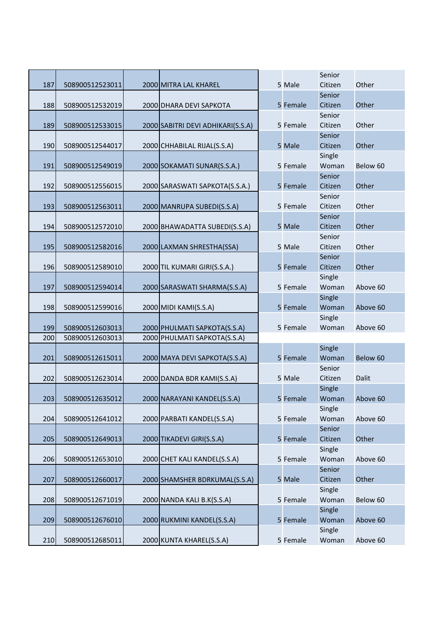|     |                 |                                   |          | Senior            |          |
|-----|-----------------|-----------------------------------|----------|-------------------|----------|
| 187 | 508900512523011 | 2000 MITRA LAL KHAREL             | 5 Male   | Citizen           | Other    |
|     |                 |                                   |          | Senior            |          |
| 188 | 508900512532019 | 2000 DHARA DEVI SAPKOTA           | 5 Female | Citizen           | Other    |
|     |                 |                                   |          | Senior<br>Citizen | Other    |
| 189 | 508900512533015 | 2000 SABITRI DEVI ADHIKARI(S.S.A) | 5 Female | Senior            |          |
| 190 | 508900512544017 | 2000 CHHABILAL RIJAL(S.S.A)       | 5 Male   | Citizen           | Other    |
|     |                 |                                   |          | Single            |          |
| 191 | 508900512549019 | 2000 SOKAMATI SUNAR(S.S.A.)       | 5 Female | Woman             | Below 60 |
|     |                 |                                   |          | Senior            |          |
| 192 | 508900512556015 | 2000 SARASWATI SAPKOTA(S.S.A.)    | 5 Female | Citizen           | Other    |
|     |                 |                                   |          | Senior            |          |
| 193 | 508900512563011 | 2000 MANRUPA SUBEDI(S.S.A)        | 5 Female | Citizen           | Other    |
|     |                 |                                   |          | Senior            |          |
| 194 | 508900512572010 | 2000 BHAWADATTA SUBEDI(S.S.A)     | 5 Male   | Citizen           | Other    |
|     |                 |                                   |          | Senior            |          |
| 195 | 508900512582016 | 2000 LAXMAN SHRESTHA(SSA)         | 5 Male   | Citizen           | Other    |
|     |                 |                                   |          | Senior            |          |
| 196 | 508900512589010 | 2000 TIL KUMARI GIRI(S.S.A.)      | 5 Female | Citizen           | Other    |
|     |                 |                                   |          | Single            |          |
| 197 | 508900512594014 | 2000 SARASWATI SHARMA(S.S.A)      | 5 Female | Woman             | Above 60 |
|     |                 |                                   |          | Single            |          |
| 198 | 508900512599016 | 2000 MIDI KAMI(S.S.A)             | 5 Female | Woman             | Above 60 |
|     |                 |                                   |          | Single            |          |
| 199 | 508900512603013 | 2000 PHULMATI SAPKOTA(S.S.A)      | 5 Female | Woman             | Above 60 |
| 200 | 508900512603013 | 2000 PHULMATI SAPKOTA(S.S.A)      |          |                   |          |
|     |                 |                                   |          | Single            |          |
| 201 | 508900512615011 | 2000 MAYA DEVI SAPKOTA(S.S.A)     | 5 Female | Woman             | Below 60 |
|     |                 |                                   |          | Senior            |          |
| 202 | 508900512623014 | 2000 DANDA BDR KAMI(S.S.A)        | 5 Male   | Citizen           | Dalit    |
|     |                 |                                   |          | Single            |          |
| 203 | 508900512635012 | 2000 NARAYANI KANDEL(S.S.A)       | 5 Female | Woman             | Above 60 |
|     | 508900512641012 | 2000 PARBATI KANDEL(S.S.A)        | 5 Female | Single<br>Woman   | Above 60 |
| 204 |                 |                                   |          | Senior            |          |
| 205 | 508900512649013 | 2000 TIKADEVI GIRI(S.S.A)         | 5 Female | Citizen           | Other    |
|     |                 |                                   |          | Single            |          |
| 206 | 508900512653010 | 2000 CHET KALI KANDEL(S.S.A)      | 5 Female | Woman             | Above 60 |
|     |                 |                                   |          | Senior            |          |
| 207 | 508900512660017 | 2000 SHAMSHER BDRKUMAL(S.S.A)     | 5 Male   | Citizen           | Other    |
|     |                 |                                   |          | Single            |          |
| 208 | 508900512671019 | 2000 NANDA KALI B.K(S.S.A)        | 5 Female | Woman             | Below 60 |
|     |                 |                                   |          | Single            |          |
| 209 | 508900512676010 | 2000 RUKMINI KANDEL(S.S.A)        | 5 Female | Woman             | Above 60 |
|     |                 |                                   |          | Single            |          |
| 210 | 508900512685011 | 2000 KUNTA KHAREL(S.S.A)          | 5 Female | Woman             | Above 60 |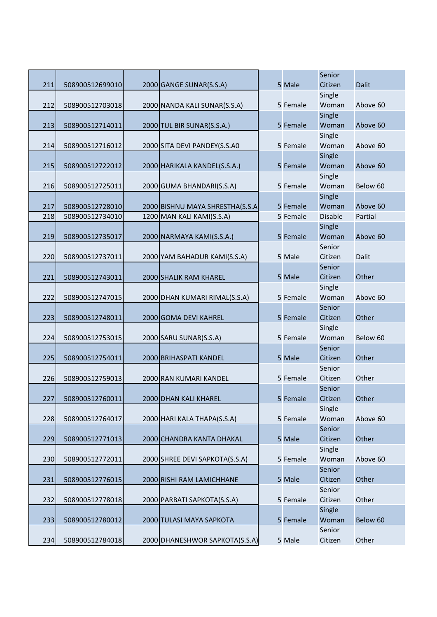|     |                 |                                 |          | Senior         |          |
|-----|-----------------|---------------------------------|----------|----------------|----------|
| 211 | 508900512699010 | 2000 GANGE SUNAR(S.S.A)         | 5 Male   | Citizen        | Dalit    |
|     |                 |                                 |          | Single         |          |
| 212 | 508900512703018 | 2000 NANDA KALI SUNAR(S.S.A)    | 5 Female | Woman          | Above 60 |
|     |                 |                                 |          | Single         |          |
| 213 | 508900512714011 | 2000 TUL BIR SUNAR(S.S.A.)      | 5 Female | Woman          | Above 60 |
|     |                 |                                 |          | Single         |          |
| 214 | 508900512716012 | 2000 SITA DEVI PANDEY(S.S.AO    | 5 Female | Woman          | Above 60 |
|     |                 |                                 |          | Single         |          |
| 215 | 508900512722012 | 2000 HARIKALA KANDEL(S.S.A.)    | 5 Female | Woman          | Above 60 |
|     |                 |                                 |          | Single         |          |
| 216 | 508900512725011 | 2000 GUMA BHANDARI(S.S.A)       | 5 Female | Woman          | Below 60 |
|     |                 |                                 |          | Single         |          |
| 217 | 508900512728010 | 2000 BISHNU MAYA SHRESTHA(S.S.A | 5 Female | Woman          | Above 60 |
| 218 | 508900512734010 | 1200 MAN KALI KAMI(S.S.A)       | 5 Female | <b>Disable</b> | Partial  |
|     |                 |                                 |          | Single         |          |
| 219 | 508900512735017 | 2000 NARMAYA KAMI(S.S.A.)       | 5 Female | Woman          | Above 60 |
|     |                 |                                 |          | Senior         |          |
| 220 | 508900512737011 | 2000 YAM BAHADUR KAMI(S.S.A)    | 5 Male   | Citizen        | Dalit    |
|     |                 |                                 |          | Senior         |          |
| 221 | 508900512743011 | 2000 SHALIK RAM KHAREL          | 5 Male   | Citizen        | Other    |
|     |                 |                                 |          | Single         |          |
| 222 | 508900512747015 | 2000 DHAN KUMARI RIMAL(S.S.A)   | 5 Female | Woman          | Above 60 |
|     |                 |                                 |          | Senior         |          |
| 223 | 508900512748011 | 2000 GOMA DEVI KAHREL           | 5 Female | Citizen        | Other    |
|     |                 |                                 |          | Single         |          |
| 224 | 508900512753015 | 2000 SARU SUNAR(S.S.A)          | 5 Female | Woman          | Below 60 |
|     |                 |                                 |          | Senior         |          |
| 225 | 508900512754011 | 2000 BRIHASPATI KANDEL          | 5 Male   | Citizen        | Other    |
|     |                 |                                 |          | Senior         |          |
| 226 | 508900512759013 | 2000 RAN KUMARI KANDEL          | 5 Female | Citizen        | Other    |
|     |                 |                                 |          | Senior         |          |
| 227 | 508900512760011 | 2000 DHAN KALI KHAREL           | 5 Female | Citizen        | Other    |
|     |                 |                                 |          | Single         |          |
| 228 | 508900512764017 | 2000 HARI KALA THAPA(S.S.A)     | 5 Female | Woman          | Above 60 |
|     |                 |                                 |          | Senior         |          |
| 229 | 508900512771013 | 2000 CHANDRA KANTA DHAKAL       | 5 Male   | Citizen        | Other    |
|     |                 |                                 |          | Single         |          |
| 230 | 508900512772011 | 2000 SHREE DEVI SAPKOTA(S.S.A)  | 5 Female | Woman          | Above 60 |
|     |                 |                                 |          | Senior         |          |
| 231 | 508900512776015 | 2000 RISHI RAM LAMICHHANE       | 5 Male   | Citizen        | Other    |
|     |                 |                                 |          | Senior         |          |
| 232 | 508900512778018 | 2000 PARBATI SAPKOTA(S.S.A)     | 5 Female | Citizen        | Other    |
|     |                 |                                 |          | Single         |          |
| 233 | 508900512780012 | 2000 TULASI MAYA SAPKOTA        | 5 Female | Woman          | Below 60 |
|     |                 |                                 |          | Senior         |          |
| 234 | 508900512784018 | 2000 DHANESHWOR SAPKOTA(S.S.A)  | 5 Male   | Citizen        | Other    |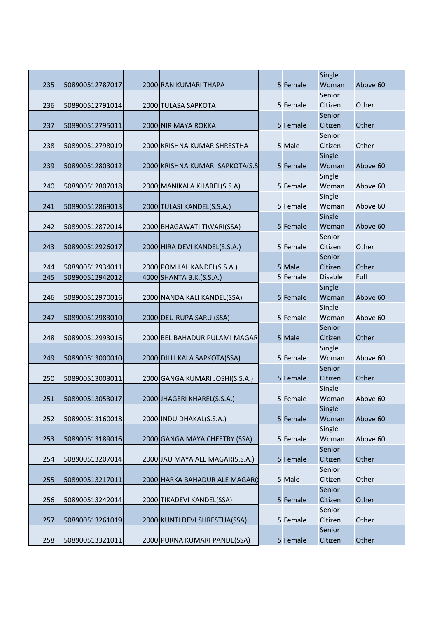|     |                 |                                 |          | Single          |          |
|-----|-----------------|---------------------------------|----------|-----------------|----------|
| 235 | 508900512787017 | 2000 RAN KUMARI THAPA           | 5 Female | Woman           | Above 60 |
|     |                 |                                 |          | Senior          |          |
| 236 | 508900512791014 | 2000 TULASA SAPKOTA             | 5 Female | Citizen         | Other    |
|     |                 |                                 |          | Senior          |          |
| 237 | 508900512795011 | 2000 NIR MAYA ROKKA             | 5 Female | Citizen         | Other    |
|     |                 |                                 |          | Senior          |          |
| 238 | 508900512798019 | 2000 KRISHNA KUMAR SHRESTHA     | 5 Male   | Citizen         | Other    |
|     |                 |                                 |          | Single          |          |
| 239 | 508900512803012 | 2000 KRISHNA KUMARI SAPKOTA(S.S | 5 Female | Woman           | Above 60 |
|     |                 |                                 |          | Single          |          |
| 240 | 508900512807018 | 2000 MANIKALA KHAREL(S.S.A)     | 5 Female | Woman           | Above 60 |
|     |                 |                                 |          | Single          |          |
| 241 | 508900512869013 | 2000 TULASI KANDEL(S.S.A.)      | 5 Female | Woman           | Above 60 |
|     |                 |                                 |          | Single          |          |
| 242 | 508900512872014 | 2000 BHAGAWATI TIWARI(SSA)      | 5 Female | Woman           | Above 60 |
|     |                 |                                 |          | Senior          |          |
| 243 | 508900512926017 | 2000 HIRA DEVI KANDEL(S.S.A.)   | 5 Female | Citizen         | Other    |
|     |                 |                                 |          | Senior          |          |
| 244 | 508900512934011 | 2000 POM LAL KANDEL(S.S.A.)     | 5 Male   | Citizen         | Other    |
| 245 | 508900512942012 | 4000 SHANTA B.K.(S.S.A.)        | 5 Female | <b>Disable</b>  | Full     |
|     |                 |                                 |          | Single          |          |
| 246 | 508900512970016 | 2000 NANDA KALI KANDEL(SSA)     | 5 Female | Woman           | Above 60 |
| 247 | 508900512983010 | 2000 DEU RUPA SARU (SSA)        | 5 Female | Single<br>Woman | Above 60 |
|     |                 |                                 |          | Senior          |          |
| 248 | 508900512993016 | 2000 BEL BAHADUR PULAMI MAGAR   | 5 Male   | Citizen         | Other    |
|     |                 |                                 |          | Single          |          |
| 249 | 508900513000010 | 2000 DILLI KALA SAPKOTA(SSA)    | 5 Female | Woman           | Above 60 |
|     |                 |                                 |          | Senior          |          |
| 250 | 508900513003011 | 2000 GANGA KUMARI JOSHI(S.S.A.) | 5 Female | Citizen         | Other    |
|     |                 |                                 |          | Single          |          |
| 251 | 508900513053017 | 2000 JHAGERI KHAREL(S.S.A.)     | 5 Female | Woman           | Above 60 |
|     |                 |                                 |          | Single          |          |
| 252 | 508900513160018 | 2000 INDU DHAKAL(S.S.A.)        | 5 Female | Woman           | Above 60 |
|     |                 |                                 |          | Single          |          |
| 253 | 508900513189016 | 2000 GANGA MAYA CHEETRY (SSA)   | 5 Female | Woman           | Above 60 |
|     |                 |                                 |          | Senior          |          |
| 254 | 508900513207014 | 2000 JAU MAYA ALE MAGAR(S.S.A.) | 5 Female | Citizen         | Other    |
|     |                 |                                 |          | Senior          |          |
| 255 | 508900513217011 | 2000 HARKA BAHADUR ALE MAGAR(   | 5 Male   | Citizen         | Other    |
|     |                 |                                 |          | Senior          |          |
| 256 | 508900513242014 | 2000 TIKADEVI KANDEL(SSA)       | 5 Female | Citizen         | Other    |
|     |                 |                                 |          | Senior          |          |
| 257 | 508900513261019 | 2000 KUNTI DEVI SHRESTHA(SSA)   | 5 Female | Citizen         | Other    |
|     |                 |                                 |          | Senior          |          |
| 258 | 508900513321011 | 2000 PURNA KUMARI PANDE(SSA)    | 5 Female | Citizen         | Other    |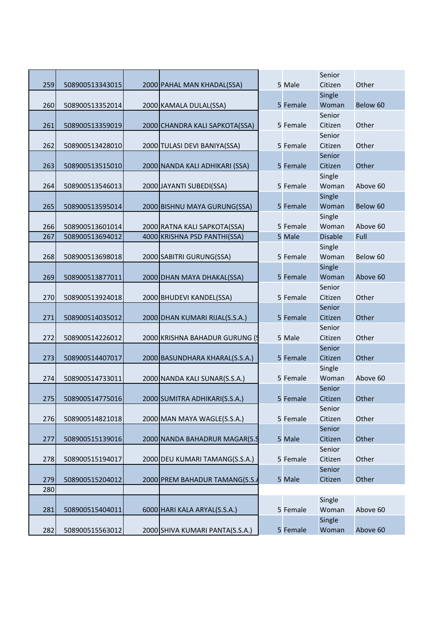|     |                 |                                 |          | Senior         |          |
|-----|-----------------|---------------------------------|----------|----------------|----------|
| 259 | 508900513343015 | 2000 PAHAL MAN KHADAL(SSA)      | 5 Male   | Citizen        | Other    |
|     |                 |                                 |          | Single         |          |
| 260 | 508900513352014 | 2000 KAMALA DULAL(SSA)          | 5 Female | Woman          | Below 60 |
|     |                 |                                 |          | Senior         |          |
| 261 | 508900513359019 | 2000 CHANDRA KALI SAPKOTA(SSA)  | 5 Female | Citizen        | Other    |
|     |                 |                                 |          | Senior         |          |
| 262 | 508900513428010 | 2000 TULASI DEVI BANIYA(SSA)    | 5 Female | Citizen        | Other    |
|     |                 |                                 |          | Senior         |          |
| 263 | 508900513515010 | 2000 NANDA KALI ADHIKARI (SSA)  | 5 Female | Citizen        | Other    |
|     |                 |                                 |          | Single         |          |
| 264 | 508900513546013 | 2000 JAYANTI SUBEDI(SSA)        | 5 Female | Woman          | Above 60 |
|     |                 |                                 |          | Single         |          |
| 265 | 508900513595014 | 2000 BISHNU MAYA GURUNG(SSA)    | 5 Female | Woman          | Below 60 |
|     |                 |                                 |          | Single         |          |
| 266 | 508900513601014 | 2000 RATNA KALI SAPKOTA(SSA)    | 5 Female | Woman          | Above 60 |
| 267 | 508900513694012 | 4000 KRISHNA PSD PANTHI(SSA)    | 5 Male   | <b>Disable</b> | Full     |
|     |                 |                                 |          | Single         |          |
| 268 | 508900513698018 | 2000 SABITRI GURUNG(SSA)        | 5 Female | Woman          | Below 60 |
|     |                 |                                 |          | Single         |          |
| 269 | 508900513877011 | 2000 DHAN MAYA DHAKAL(SSA)      | 5 Female | Woman          | Above 60 |
|     |                 |                                 |          | Senior         |          |
| 270 | 508900513924018 | 2000 BHUDEVI KANDEL(SSA)        | 5 Female | Citizen        | Other    |
|     |                 |                                 |          | Senior         |          |
| 271 | 508900514035012 | 2000 DHAN KUMARI RIJAL(S.S.A.)  | 5 Female | Citizen        | Other    |
|     |                 |                                 |          | Senior         |          |
| 272 | 508900514226012 | 2000 KRISHNA BAHADUR GURUNG (S  | 5 Male   | Citizen        | Other    |
|     |                 |                                 |          | Senior         |          |
| 273 | 508900514407017 | 2000 BASUNDHARA KHARAL(S.S.A.)  | 5 Female | Citizen        | Other    |
|     |                 |                                 |          | Single         |          |
| 274 | 508900514733011 | 2000 NANDA KALI SUNAR(S.S.A.)   | 5 Female | Woman          | Above 60 |
|     |                 |                                 |          | Senior         |          |
| 275 | 508900514775016 | 2000 SUMITRA ADHIKARI(S.S.A.)   | 5 Female | Citizen        | Other    |
|     |                 |                                 |          | Senior         |          |
| 276 | 508900514821018 | 2000 MAN MAYA WAGLE(S.S.A.)     | 5 Female | Citizen        | Other    |
|     |                 |                                 |          | Senior         |          |
| 277 | 508900515139016 | 2000 NANDA BAHADRUR MAGAR(S.9   | 5 Male   | Citizen        | Other    |
|     |                 |                                 |          | Senior         |          |
| 278 | 508900515194017 | 2000 DEU KUMARI TAMANG(S.S.A.)  | 5 Female | Citizen        | Other    |
|     |                 |                                 |          | Senior         |          |
| 279 | 508900515204012 | 2000 PREM BAHADUR TAMANG(S.S./  | 5 Male   | Citizen        | Other    |
| 280 |                 |                                 |          |                |          |
|     |                 |                                 |          | Single         |          |
| 281 | 508900515404011 | 6000 HARI KALA ARYAL(S.S.A.)    | 5 Female | Woman          | Above 60 |
|     |                 |                                 |          | Single         |          |
| 282 | 508900515563012 | 2000 SHIVA KUMARI PANTA(S.S.A.) | 5 Female | Woman          | Above 60 |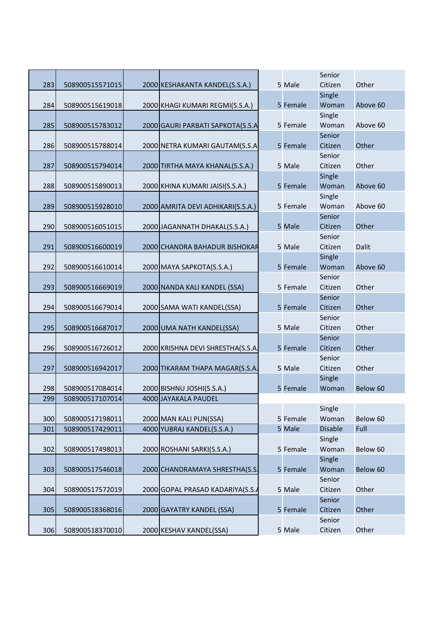|     |                 |                                   | 5 Male   | Senior<br>Citizen | Other    |
|-----|-----------------|-----------------------------------|----------|-------------------|----------|
| 283 | 508900515571015 | 2000 KESHAKANTA KANDEL(S.S.A.)    |          | Single            |          |
| 284 | 508900515619018 | 2000 KHAGI KUMARI REGMI(S.S.A.)   | 5 Female | Woman             | Above 60 |
|     |                 |                                   |          | Single            |          |
| 285 | 508900515783012 | 2000 GAURI PARBATI SAPKOTA(S.S.A  | 5 Female | Woman             | Above 60 |
|     |                 |                                   |          | Senior            |          |
| 286 | 508900515788014 | 2000 NETRA KUMARI GAUTAM(S.S.A    | 5 Female | Citizen           | Other    |
|     |                 |                                   |          | Senior            |          |
| 287 | 508900515794014 | 2000 TIRTHA MAYA KHANAL(S.S.A.)   | 5 Male   | Citizen           | Other    |
|     |                 |                                   |          | Single            |          |
| 288 | 508900515890013 | 2000 KHINA KUMARI JAISI(S.S.A.)   | 5 Female | Woman             | Above 60 |
|     |                 |                                   |          | Single            |          |
| 289 | 508900515928010 | 2000 AMRITA DEVI ADHIKARI(S.S.A.) | 5 Female | Woman             | Above 60 |
| 290 | 508900516051015 | 2000 JAGANNATH DHAKAL(S.S.A.)     | 5 Male   | Senior<br>Citizen | Other    |
|     |                 |                                   |          | Senior            |          |
| 291 | 508900516600019 | 2000 CHANDRA BAHADUR BISHOKAR     | 5 Male   | Citizen           | Dalit    |
|     |                 |                                   |          | Single            |          |
| 292 | 508900516610014 | 2000 MAYA SAPKOTA(S.S.A.)         | 5 Female | Woman             | Above 60 |
|     |                 |                                   |          | Senior            |          |
| 293 | 508900516669019 | 2000 NANDA KALI KANDEL (SSA)      | 5 Female | Citizen           | Other    |
|     |                 |                                   |          | Senior            |          |
| 294 | 508900516679014 | 2000 SAMA WATI KANDEL(SSA)        | 5 Female | Citizen           | Other    |
|     |                 |                                   |          | Senior            |          |
| 295 | 508900516687017 | 2000 UMA NATH KANDEL(SSA)         | 5 Male   | Citizen           | Other    |
|     |                 |                                   |          | Senior            |          |
| 296 | 508900516726012 | 2000 KRISHNA DEVI SHRESTHA(S.S.A. | 5 Female | Citizen           | Other    |
|     |                 |                                   |          | Senior            |          |
| 297 | 508900516942017 | 2000 TIKARAM THAPA MAGAR(S.S.A.   | 5 Male   | Citizen           | Other    |
|     |                 |                                   |          | Single            |          |
| 298 | 508900517084014 | 2000 BISHNU JOSHI(S.S.A.)         | 5 Female | Woman             | Below 60 |
| 299 | 508900517107014 | 4000 JAYAKALA PAUDEL              |          | Single            |          |
| 300 | 508900517198011 | 2000 MAN KALI PUN(SSA)            | 5 Female | Woman             | Below 60 |
| 301 | 508900517429011 | 4000 YUBRAJ KANDEL(S.S.A.)        | 5 Male   | <b>Disable</b>    | Full     |
|     |                 |                                   |          | Single            |          |
| 302 | 508900517498013 | 2000 ROSHANI SARKI(S.S.A.)        | 5 Female | Woman             | Below 60 |
|     |                 |                                   |          | Single            |          |
| 303 | 508900517546018 | 2000 CHANDRAMAYA SHRESTHA(S.S.    | 5 Female | Woman             | Below 60 |
|     |                 |                                   |          | Senior            |          |
| 304 | 508900517572019 | 2000 GOPAL PRASAD KADARIYA(S.S./  | 5 Male   | Citizen           | Other    |
|     |                 |                                   |          | Senior            |          |
| 305 | 508900518368016 | 2000 GAYATRY KANDEL (SSA)         | 5 Female | Citizen           | Other    |
|     |                 |                                   |          | Senior            |          |
| 306 | 508900518370010 | 2000 KESHAV KANDEL(SSA)           | 5 Male   | Citizen           | Other    |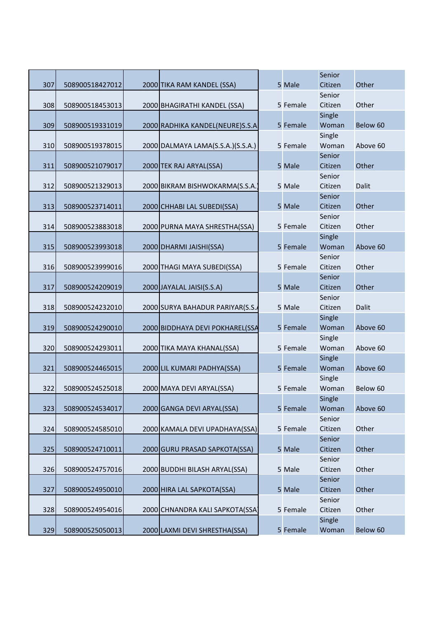|     |                 |                                   |          | Senior  |          |
|-----|-----------------|-----------------------------------|----------|---------|----------|
| 307 | 508900518427012 | 2000 TIKA RAM KANDEL (SSA)        | 5 Male   | Citizen | Other    |
|     |                 |                                   |          | Senior  |          |
| 308 | 508900518453013 | 2000 BHAGIRATHI KANDEL (SSA)      | 5 Female | Citizen | Other    |
|     |                 |                                   |          | Single  |          |
| 309 | 508900519331019 | 2000 RADHIKA KANDEL(NEURE)S.S.A.  | 5 Female | Woman   | Below 60 |
|     |                 |                                   |          | Single  |          |
| 310 | 508900519378015 | 2000 DALMAYA LAMA(S.S.A.)(S.S.A.) | 5 Female | Woman   | Above 60 |
|     |                 |                                   |          | Senior  |          |
| 311 | 508900521079017 | 2000 TEK RAJ ARYAL(SSA)           | 5 Male   | Citizen | Other    |
|     |                 |                                   |          | Senior  |          |
| 312 | 508900521329013 | 2000 BIKRAM BISHWOKARMA(S.S.A.    | 5 Male   | Citizen | Dalit    |
|     |                 |                                   |          | Senior  |          |
| 313 | 508900523714011 | 2000 CHHABI LAL SUBEDI(SSA)       | 5 Male   | Citizen | Other    |
|     |                 |                                   |          | Senior  |          |
| 314 | 508900523883018 | 2000 PURNA MAYA SHRESTHA(SSA)     | 5 Female | Citizen | Other    |
|     |                 |                                   |          | Single  |          |
| 315 | 508900523993018 | 2000 DHARMI JAISHI(SSA)           | 5 Female | Woman   | Above 60 |
|     |                 |                                   |          | Senior  |          |
| 316 | 508900523999016 | 2000 THAGI MAYA SUBEDI(SSA)       | 5 Female | Citizen | Other    |
|     |                 |                                   |          | Senior  |          |
| 317 | 508900524209019 | 2000 JAYALAL JAISI(S.S.A)         | 5 Male   | Citizen | Other    |
|     |                 |                                   |          | Senior  |          |
| 318 | 508900524232010 | 2000 SURYA BAHADUR PARIYAR(S.S.   | 5 Male   | Citizen | Dalit    |
|     |                 |                                   |          | Single  |          |
| 319 | 508900524290010 | 2000 BIDDHAYA DEVI POKHAREL(SSA   | 5 Female | Woman   | Above 60 |
|     |                 |                                   |          | Single  |          |
| 320 | 508900524293011 | 2000 TIKA MAYA KHANAL(SSA)        | 5 Female | Woman   | Above 60 |
|     |                 |                                   |          | Single  |          |
| 321 | 508900524465015 | 2000 LIL KUMARI PADHYA(SSA)       | 5 Female | Woman   | Above 60 |
|     |                 |                                   |          | Single  |          |
| 322 | 508900524525018 | 2000 MAYA DEVI ARYAL(SSA)         | 5 Female | Woman   | Below 60 |
|     |                 |                                   |          | Single  |          |
| 323 | 508900524534017 | 2000 GANGA DEVI ARYAL(SSA)        | 5 Female | Woman   | Above 60 |
|     |                 |                                   |          | Senior  |          |
| 324 | 508900524585010 | 2000 KAMALA DEVI UPADHAYA(SSA)    | 5 Female | Citizen | Other    |
|     |                 |                                   |          | Senior  |          |
| 325 | 508900524710011 | 2000 GURU PRASAD SAPKOTA(SSA)     | 5 Male   | Citizen | Other    |
|     |                 |                                   |          | Senior  |          |
| 326 | 508900524757016 | 2000 BUDDHI BILASH ARYAL(SSA)     | 5 Male   | Citizen | Other    |
|     |                 |                                   |          | Senior  |          |
| 327 | 508900524950010 | 2000 HIRA LAL SAPKOTA(SSA)        | 5 Male   | Citizen | Other    |
|     |                 |                                   |          | Senior  |          |
| 328 | 508900524954016 | 2000 CHNANDRA KALI SAPKOTA(SSA)   | 5 Female | Citizen | Other    |
|     |                 |                                   |          | Single  |          |
| 329 | 508900525050013 | 2000 LAXMI DEVI SHRESTHA(SSA)     | 5 Female | Woman   | Below 60 |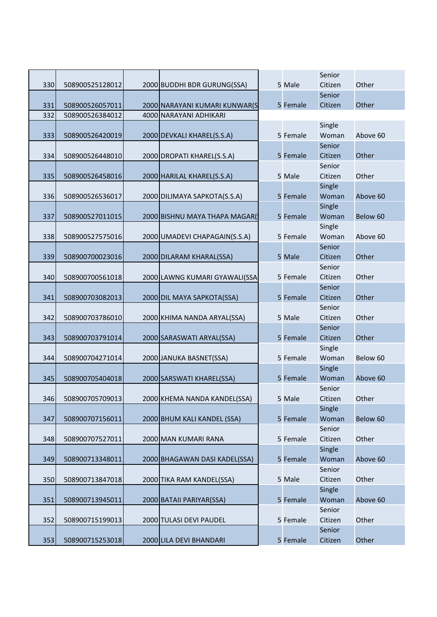|     |                 |                               |          | Senior          |          |
|-----|-----------------|-------------------------------|----------|-----------------|----------|
| 330 | 508900525128012 | 2000 BUDDHI BDR GURUNG(SSA)   | 5 Male   | Citizen         | Other    |
|     |                 |                               |          | Senior          |          |
| 331 | 508900526057011 | 2000 NARAYANI KUMARI KUNWAR(S | 5 Female | Citizen         | Other    |
| 332 | 508900526384012 | 4000 NARAYANI ADHIKARI        |          |                 |          |
|     |                 |                               |          | Single          |          |
| 333 | 508900526420019 | 2000 DEVKALI KHAREL(S.S.A)    | 5 Female | Woman           | Above 60 |
|     |                 |                               |          | Senior          |          |
| 334 | 508900526448010 | 2000 DROPATI KHAREL(S.S.A)    | 5 Female | Citizen         | Other    |
|     |                 |                               |          | Senior          |          |
| 335 | 508900526458016 | 2000 HARILAL KHAREL(S.S.A)    | 5 Male   | Citizen         | Other    |
|     |                 |                               |          | Single          |          |
| 336 | 508900526536017 | 2000 DILIMAYA SAPKOTA(S.S.A)  | 5 Female | Woman           | Above 60 |
|     |                 |                               |          | Single          |          |
| 337 | 508900527011015 | 2000 BISHNU MAYA THAPA MAGAR( | 5 Female | Woman           | Below 60 |
|     |                 |                               |          | Single          |          |
| 338 | 508900527575016 | 2000 UMADEVI CHAPAGAIN(S.S.A) | 5 Female | Woman           | Above 60 |
|     |                 |                               |          | Senior          |          |
| 339 | 508900700023016 | 2000 DILARAM KHARAL(SSA)      | 5 Male   | Citizen         | Other    |
|     |                 |                               |          | Senior          |          |
| 340 | 508900700561018 | 2000 LAWNG KUMARI GYAWALI(SSA | 5 Female | Citizen         | Other    |
|     |                 |                               |          | Senior          |          |
| 341 | 508900703082013 | 2000 DIL MAYA SAPKOTA(SSA)    | 5 Female | Citizen         | Other    |
|     |                 |                               |          | Senior          |          |
| 342 | 508900703786010 | 2000 KHIMA NANDA ARYAL(SSA)   | 5 Male   | Citizen         | Other    |
|     |                 |                               |          | Senior          |          |
| 343 | 508900703791014 | 2000 SARASWATI ARYAL(SSA)     | 5 Female | Citizen         | Other    |
|     |                 |                               |          | Single          |          |
| 344 | 508900704271014 | 2000 JANUKA BASNET(SSA)       | 5 Female | Woman           | Below 60 |
|     |                 |                               |          | Single          |          |
| 345 | 508900705404018 | 2000 SARSWATI KHAREL(SSA)     | 5 Female | Woman           | Above 60 |
|     |                 |                               |          | Senior          |          |
| 346 | 508900705709013 | 2000 KHEMA NANDA KANDEL(SSA)  | 5 Male   | Citizen         | Other    |
|     | 508900707156011 | 2000 BHUM KALI KANDEL (SSA)   | 5 Female | Single<br>Woman | Below 60 |
| 347 |                 |                               |          | Senior          |          |
|     |                 |                               | 5 Female | Citizen         | Other    |
| 348 | 508900707527011 | 2000 MAN KUMARI RANA          |          | Single          |          |
| 349 | 508900713348011 |                               | 5 Female | Woman           | Above 60 |
|     |                 | 2000 BHAGAWAN DASI KADEL(SSA) |          | Senior          |          |
| 350 | 508900713847018 | 2000 TIKA RAM KANDEL(SSA)     | 5 Male   | Citizen         | Other    |
|     |                 |                               |          | Single          |          |
| 351 | 508900713945011 | 2000 BATAII PARIYAR(SSA)      | 5 Female | Woman           | Above 60 |
|     |                 |                               |          | Senior          |          |
| 352 | 508900715199013 | 2000 TULASI DEVI PAUDEL       | 5 Female | Citizen         | Other    |
|     |                 |                               |          | Senior          |          |
|     |                 |                               | 5 Female | Citizen         | Other    |
| 353 | 508900715253018 | 2000 LILA DEVI BHANDARI       |          |                 |          |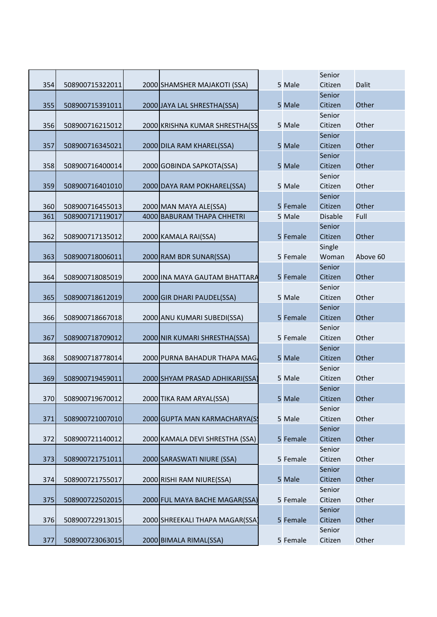|     |                 |                                 |          | Senior          |          |
|-----|-----------------|---------------------------------|----------|-----------------|----------|
| 354 | 508900715322011 | 2000 SHAMSHER MAJAKOTI (SSA)    | 5 Male   | Citizen         | Dalit    |
|     |                 |                                 |          | Senior          |          |
| 355 | 508900715391011 | 2000 JAYA LAL SHRESTHA(SSA)     | 5 Male   | Citizen         | Other    |
|     |                 |                                 |          | Senior          |          |
| 356 | 508900716215012 | 2000 KRISHNA KUMAR SHRESTHA(SS  | 5 Male   | Citizen         | Other    |
|     |                 |                                 |          | Senior          |          |
| 357 | 508900716345021 | 2000 DILA RAM KHAREL(SSA)       | 5 Male   | Citizen         | Other    |
|     |                 |                                 |          | Senior          |          |
| 358 | 508900716400014 | 2000 GOBINDA SAPKOTA(SSA)       | 5 Male   | Citizen         | Other    |
|     |                 |                                 |          | Senior          |          |
| 359 | 508900716401010 | 2000 DAYA RAM POKHAREL(SSA)     | 5 Male   | Citizen         | Other    |
|     |                 |                                 |          | Senior          |          |
| 360 | 508900716455013 | 2000 MAN MAYA ALE(SSA)          | 5 Female | Citizen         | Other    |
| 361 | 508900717119017 | 4000 BABURAM THAPA CHHETRI      | 5 Male   | <b>Disable</b>  | Full     |
|     |                 |                                 |          | Senior          |          |
| 362 | 508900717135012 | 2000 KAMALA RAI(SSA)            | 5 Female | Citizen         | Other    |
|     |                 |                                 | 5 Female | Single          |          |
| 363 | 508900718006011 | 2000 RAM BDR SUNAR(SSA)         |          | Woman<br>Senior | Above 60 |
|     |                 | 2000 INA MAYA GAUTAM BHATTARA   |          | Citizen         | Other    |
| 364 | 508900718085019 |                                 | 5 Female | Senior          |          |
| 365 | 508900718612019 | 2000 GIR DHARI PAUDEL(SSA)      | 5 Male   | Citizen         | Other    |
|     |                 |                                 |          | Senior          |          |
| 366 | 508900718667018 | 2000 ANU KUMARI SUBEDI(SSA)     | 5 Female | Citizen         | Other    |
|     |                 |                                 |          | Senior          |          |
| 367 | 508900718709012 | 2000 NIR KUMARI SHRESTHA(SSA)   | 5 Female | Citizen         | Other    |
|     |                 |                                 |          | Senior          |          |
| 368 | 508900718778014 | 2000 PURNA BAHADUR THAPA MAG    | 5 Male   | Citizen         | Other    |
|     |                 |                                 |          | Senior          |          |
| 369 | 508900719459011 | 2000 SHYAM PRASAD ADHIKARI(SSA) | 5 Male   | Citizen         | Other    |
|     |                 |                                 |          | Senior          |          |
| 370 | 508900719670012 | 2000 TIKA RAM ARYAL(SSA)        | 5 Male   | Citizen         | Other    |
|     |                 |                                 |          | Senior          |          |
| 371 | 508900721007010 | 2000 GUPTA MAN KARMACHARYA(S    | 5 Male   | Citizen         | Other    |
|     |                 |                                 |          | Senior          |          |
| 372 | 508900721140012 | 2000 KAMALA DEVI SHRESTHA (SSA) | 5 Female | Citizen         | Other    |
|     |                 |                                 |          | Senior          |          |
| 373 | 508900721751011 | 2000 SARASWATI NIURE (SSA)      | 5 Female | Citizen         | Other    |
|     |                 |                                 |          | Senior          |          |
| 374 | 508900721755017 | 2000 RISHI RAM NIURE(SSA)       | 5 Male   | Citizen         | Other    |
|     |                 |                                 |          | Senior          |          |
| 375 | 508900722502015 | 2000 FUL MAYA BACHE MAGAR(SSA)  | 5 Female | Citizen         | Other    |
|     |                 |                                 |          | Senior          |          |
| 376 | 508900722913015 | 2000 SHREEKALI THAPA MAGAR(SSA  | 5 Female | Citizen         | Other    |
|     |                 |                                 |          | Senior          |          |
| 377 | 508900723063015 | 2000 BIMALA RIMAL(SSA)          | 5 Female | Citizen         | Other    |